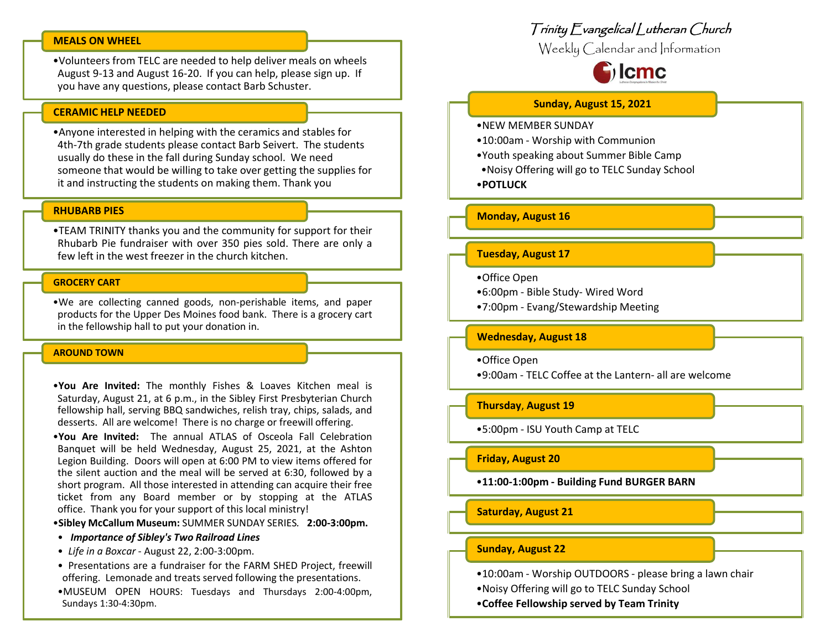### **MEALS ON WHEEL**

•Volunteers from TELC are needed to help deliver meals on wheels August 9-13 and August 16-20. If you can help, please sign up. If you have any questions, please contact Barb Schuster.

#### **CERAMIC HELP NEEDED**

•Anyone interested in helping with the ceramics and stables for 4th-7th grade students please contact Barb Seivert. The students usually do these in the fall during Sunday school. We need someone that would be willing to take over getting the supplies for it and instructing the students on making them. Thank you

## **RHUBARB PIES**

•TEAM TRINITY thanks you and the community for support for their Rhubarb Pie fundraiser with over 350 pies sold. There are only a few left in the west freezer in the church kitchen.

#### **GROCERY CART**

•We are collecting canned goods, non-perishable items, and paper products for the Upper Des Moines food bank. There is a grocery cart in the fellowship hall to put your donation in.

#### **AROUND TOWN**

•**You Are Invited:** The monthly Fishes & Loaves Kitchen meal is Saturday, August 21, at 6 p.m., in the Sibley First Presbyterian Church fellowship hall, serving BBQ sandwiches, relish tray, chips, salads, and desserts. All are welcome! There is no charge or freewill offering.

•**You Are Invited:** The annual ATLAS of Osceola Fall Celebration Banquet will be held Wednesday, August 25, 2021, at the Ashton Legion Building. Doors will open at 6:00 PM to view items offered for the silent auction and the meal will be served at 6:30, followed by a short program. All those interested in attending can acquire their free ticket from any Board member or by stopping at the ATLAS office. Thank you for your support of this local ministry!

•**Sibley McCallum Museum:** SUMMER SUNDAY SERIES*.* **2:00-3:00pm.**

- *Importance of Sibley's Two Railroad Lines*
- *Life in a Boxcar* August 22, 2:00-3:00pm.
- Presentations are a fundraiser for the FARM SHED Project, freewill offering. Lemonade and treats served following the presentations.
- •MUSEUM OPEN HOURS: Tuesdays and Thursdays 2:00-4:00pm, Sundays 1:30-4:30pm.

## Trinity Evangelical Lutheran Church

Weekly Calendar and Information



#### **Sunday, August 15, 2021**

- •NEW MEMBER SUNDAY
- •10:00am Worship with Communion
- •Youth speaking about Summer Bible Camp
- •Noisy Offering will go to TELC Sunday School
- •**POTLUCK**

#### **Monday, August 16**

### **Tuesday, August 17**

- •Office Open
- •6:00pm Bible Study- Wired Word
- •7:00pm Evang/Stewardship Meeting

#### **Wednesday, August 18**

•Office Open

•9:00am - TELC Coffee at the Lantern- all are welcome

#### **Thursday**, **August 19**

•5:00pm - ISU Youth Camp at TELC

## **Friday, August 20**

•**11:00-1:00pm - Building Fund BURGER BARN**

#### **Saturday, August 21**

## **Sunday, August 22**

- •10:00am Worship OUTDOORS please bring a lawn chair
- •Noisy Offering will go to TELC Sunday School
- •**Coffee Fellowship served by Team Trinity**